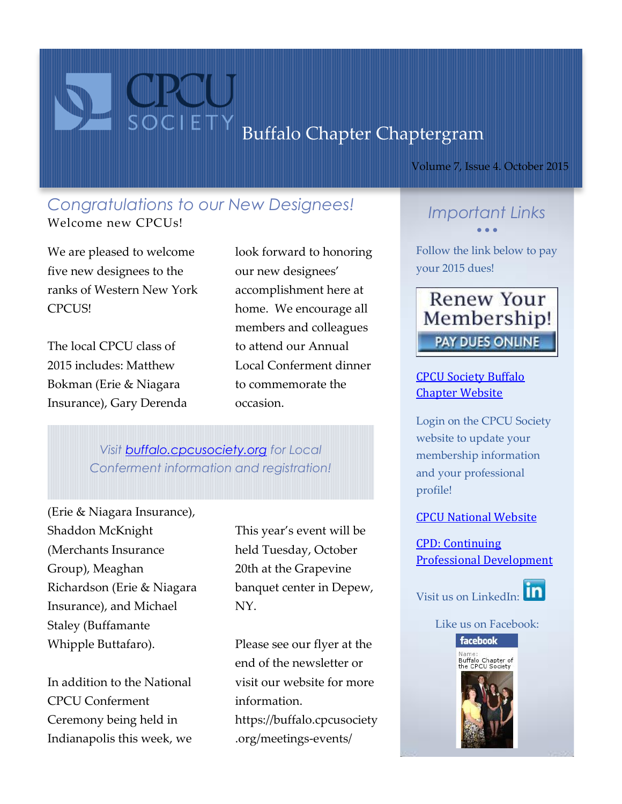# Buffalo Chapter Chaptergram

Volume 7, Issue 4. October 2015

### *Congratulations to our New Designees!* Welcome new CPCUs!

We are pleased to welcome five new designees to the ranks of Western New York CPCUS!

The local CPCU class of 2015 includes: Matthew Bokman (Erie & Niagara Insurance), Gary Derenda

look forward to honoring our new designees' accomplishment here at home. We encourage all members and colleagues to attend our Annual Local Conferment dinner to commemorate the occasion.

*Visit [buffalo.cpcusociety.org](https://buffalo.cpcusociety.org/meetings-events/conferment-dinner-select-multiple-dinners-needed) for Local Conferment information and registration!*

(Erie & Niagara Insurance), Shaddon McKnight (Merchants Insurance Group), Meaghan Richardson (Erie & Niagara Insurance), and Michael Staley (Buffamante Whipple Buttafaro).

In addition to the National CPCU Conferment Ceremony being held in Indianapolis this week, we

This year's event will be held Tuesday, October 20th at the Grapevine banquet center in Depew, NY.

Please see our flyer at the end of the newsletter or visit our website for more information. https://buffalo.cpcusociety .org/meetings-events/

## *Important Links*  $\bullet$   $\bullet$   $\bullet$

Follow the link below to pay your 2015 dues!



### [CPCU Society Buffalo](http://buffalo.cpcusociety.org/)  [Chapter Website](http://buffalo.cpcusociety.org/)

Login on the CPCU Society website to update your membership information and your professional profile!

#### [CPCU National Website](http://www.cpcusociety.org/)

[CPD: Continuing](http://www.cpcusociety.org/education-events/continuing-professional-development-cpd)  [Professional Development](http://www.cpcusociety.org/education-events/continuing-professional-development-cpd)





Like us on Facebook: facebook

Name:<br>Buffalo Chapter of<br>the CPCU Society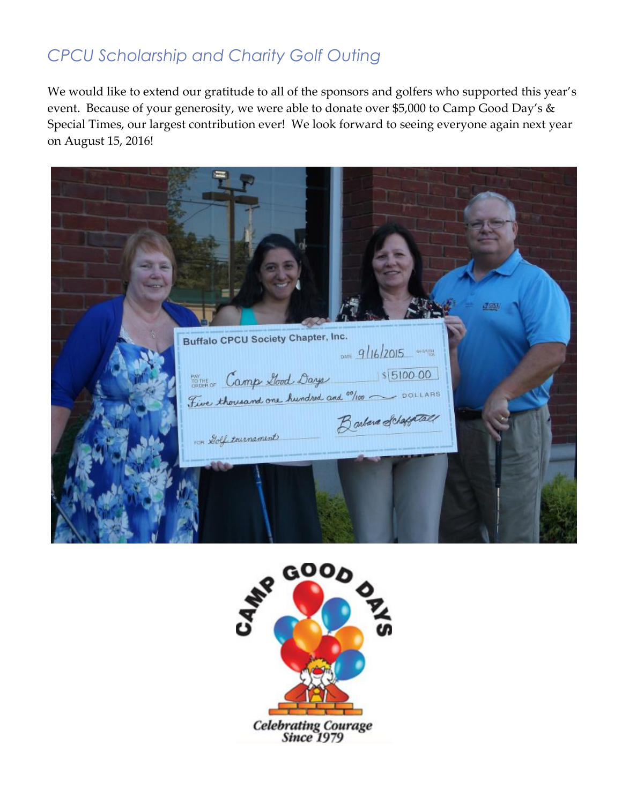# *CPCU Scholarship and Charity Golf Outing*

We would like to extend our gratitude to all of the sponsors and golfers who supported this year's event. Because of your generosity, we were able to donate over \$5,000 to Camp Good Day's & Special Times, our largest contribution ever! We look forward to seeing everyone again next year on August 15, 2016!

**Buffalo CPCU Society Chapter, Inc.** DATE  $9/16/2015$  and states DO THE Camp Llood Days  $|$|5|00.00$ Five thousand one hundred and <sup>00</sup>/100 ~ DOLLARS Barbara Schaffetall FOR Dolf tournament

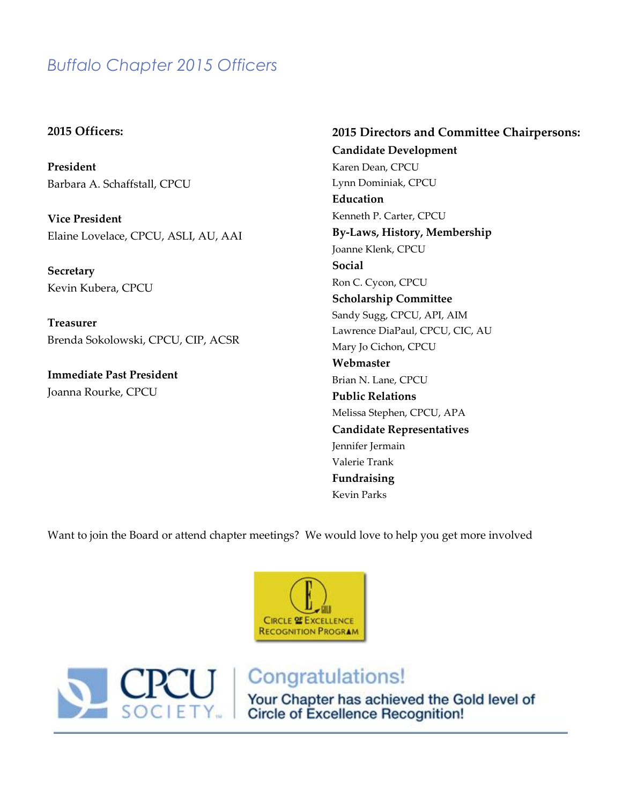## *Buffalo Chapter 2015 Officers*

#### **2015 Officers:**

**President** Barbara A. Schaffstall, CPCU

**Vice President** Elaine Lovelace, CPCU, ASLI, AU, AAI

**Secretary** Kevin Kubera, CPCU

**Treasurer** Brenda Sokolowski, CPCU, CIP, ACSR

**Immediate Past President** Joanna Rourke, CPCU

**2015 Directors and Committee Chairpersons: Candidate Development** Karen Dean, CPCU Lynn Dominiak, CPCU **Education** Kenneth P. Carter, CPCU **By-Laws, History, Membership** Joanne Klenk, CPCU **Social** Ron C. Cycon, CPCU **Scholarship Committee** Sandy Sugg, CPCU, API, AIM Lawrence DiaPaul, CPCU, CIC, AU Mary Jo Cichon, CPCU **Webmaster** Brian N. Lane, CPCU **Public Relations** Melissa Stephen, CPCU, APA **Candidate Representatives** Jennifer Jermain Valerie Trank **Fundraising** Kevin Parks

Want to join the Board or attend chapter meetings? We would love to help you get more involved





# Congratulations!

Your Chapter has achieved the Gold level of<br>Circle of Excellence Recognition!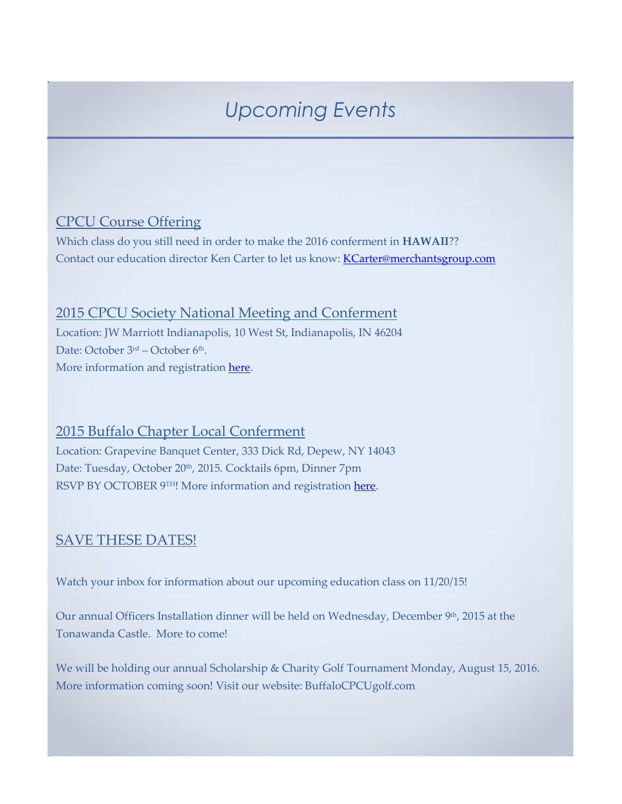# *Upcoming Events*

## CPCU Course Offering

Which class do you still need in order to make the 2016 conferment in **HAWAII**?? Contact our education director Ken Carter to let us know: **KCarter@merchantsgroup.com** 

#### 2015 CPCU Society National Meeting and Conferment

Location: JW Marriott Indianapolis, 10 West St, Indianapolis, IN 46204 Date: October 3<sup>rd</sup> – October 6<sup>th</sup>. More information and registration [here.](https://www.cpcusociety.org/education-events/annual-meeting)

## 2015 Buffalo Chapter Local Conferment

Location: Grapevine Banquet Center, 333 Dick Rd, Depew, NY 14043 Date: Tuesday, October 20<sup>th</sup>, 2015. Cocktails 6pm, Dinner 7pm RSVP BY OCTOBER 9TH! More information and registration [here.](https://buffalo.cpcusociety.org/meetings-events/conferment-dinner-select-multiple-dinners-needed)

#### SAVE THESE DATES!

Watch your inbox for information about our upcoming education class on 11/20/15!

Our annual Officers Installation dinner will be held on Wednesday, December  $9<sup>th</sup>$ , 2015 at the Tonawanda Castle. More to come!

We will be holding our annual Scholarship & Charity Golf Tournament Monday, August 15, 2016. More information coming soon! Visit our website: BuffaloCPCUgolf.com